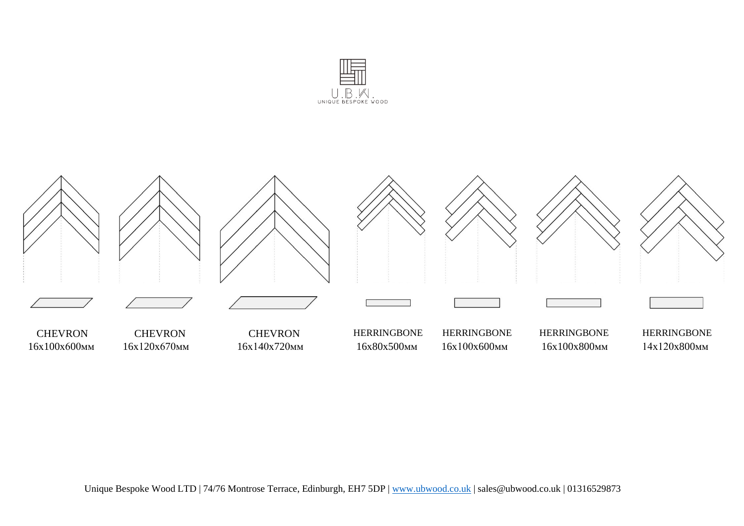

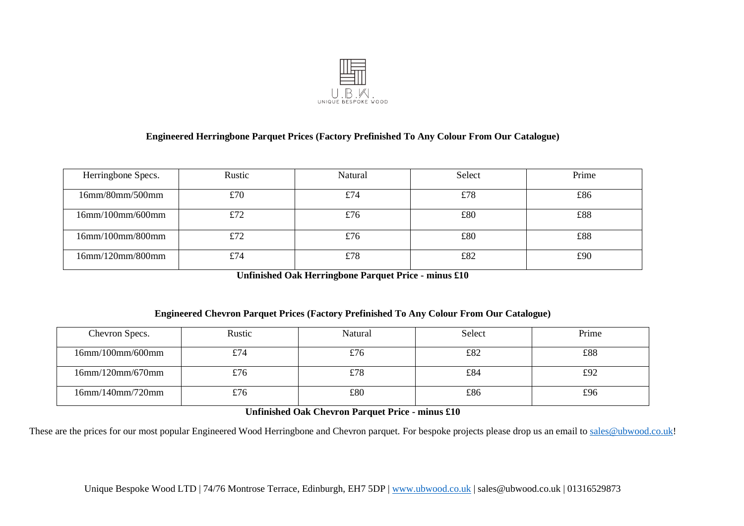

## **Engineered Herringbone Parquet Prices (Factory Prefinished To Any Colour From Our Catalogue)**

| Herringbone Specs. | Rustic | Natural | Select | Prime |
|--------------------|--------|---------|--------|-------|
| 16mm/80mm/500mm    | £70    | £74     | £78    | £86   |
| 16mm/100mm/600mm   | £72    | £76     | £80    | £88   |
| 16mm/100mm/800mm   | £72    | £76     | £80    | £88   |
| 16mm/120mm/800mm   | £74    | £78     | £82    | £90   |

**Unfinished Oak Herringbone Parquet Price - minus £10** 

## **Engineered Chevron Parquet Prices (Factory Prefinished To Any Colour From Our Catalogue)**

| Chevron Specs.   | Rustic | Natural | Select | Prime |
|------------------|--------|---------|--------|-------|
| 16mm/100mm/600mm | £74    | £76     | £82    | £88   |
| 16mm/120mm/670mm | £76    | £78     | £84    | £92   |
| 16mm/140mm/720mm | £76    | £80     | £86    | £96   |

## **Unfinished Oak Chevron Parquet Price - minus £10**

These are the prices for our most popular Engineered Wood Herringbone and Chevron parquet. For bespoke projects please drop us an email to [sales@ubwood.co.uk!](mailto:sales@ubwood.co.uk)